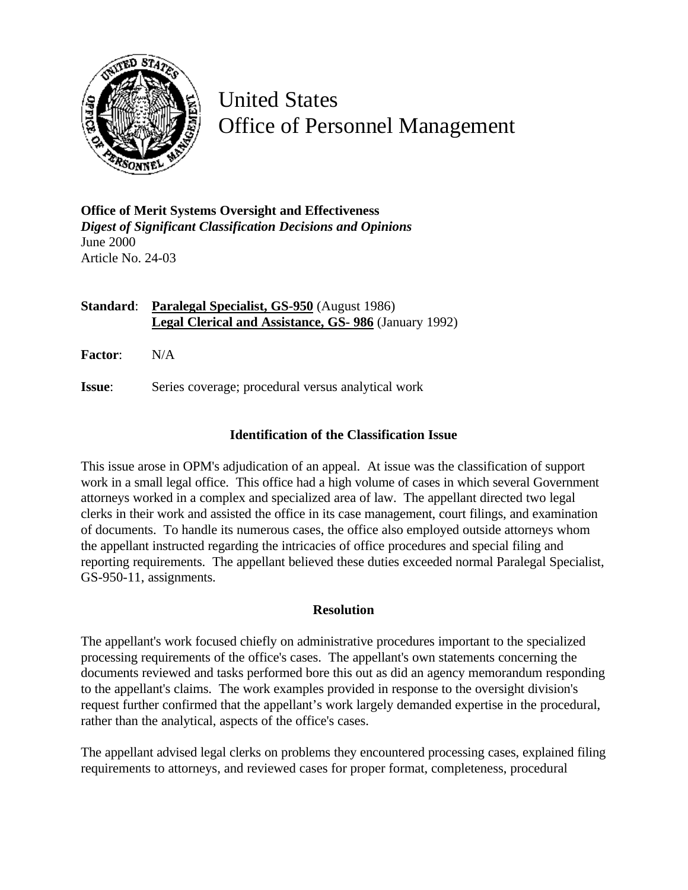

United States Office of Personnel Management

**Office of Merit Systems Oversight and Effectiveness** *Digest of Significant Classification Decisions and Opinions* June 2000 Article No. 24-03

## **Standard**: **Paralegal Specialist, GS-950** (August 1986) **Legal Clerical and Assistance, GS- 986** (January 1992)

**Factor**: N/A

**Issue:** Series coverage; procedural versus analytical work

## **Identification of the Classification Issue**

This issue arose in OPM's adjudication of an appeal. At issue was the classification of support work in a small legal office. This office had a high volume of cases in which several Government attorneys worked in a complex and specialized area of law. The appellant directed two legal clerks in their work and assisted the office in its case management, court filings, and examination of documents. To handle its numerous cases, the office also employed outside attorneys whom the appellant instructed regarding the intricacies of office procedures and special filing and reporting requirements. The appellant believed these duties exceeded normal Paralegal Specialist, GS-950-11, assignments.

## **Resolution**

The appellant's work focused chiefly on administrative procedures important to the specialized processing requirements of the office's cases. The appellant's own statements concerning the documents reviewed and tasks performed bore this out as did an agency memorandum responding to the appellant's claims. The work examples provided in response to the oversight division's request further confirmed that the appellant's work largely demanded expertise in the procedural, rather than the analytical, aspects of the office's cases.

The appellant advised legal clerks on problems they encountered processing cases, explained filing requirements to attorneys, and reviewed cases for proper format, completeness, procedural